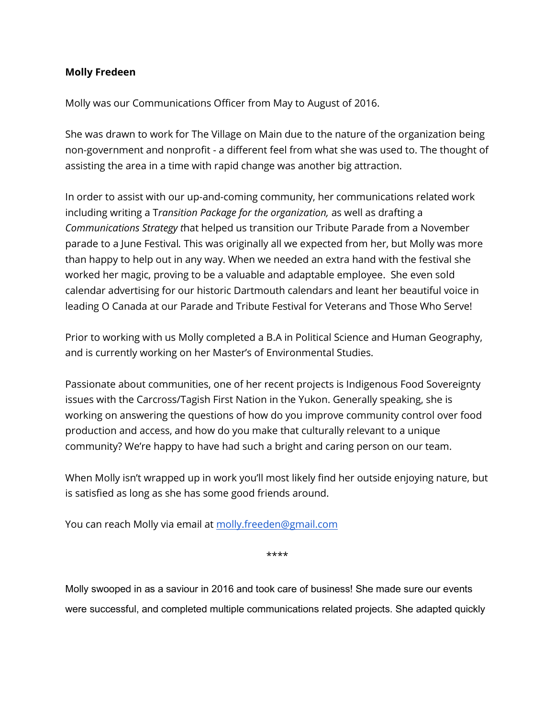## **Molly Fredeen**

Molly was our Communications Officer from May to August of 2016.

She was drawn to work for The Village on Main due to the nature of the organization being non-government and nonprofit - a different feel from what she was used to. The thought of assisting the area in a time with rapid change was another big attraction.

In order to assist with our up-and-coming community, her communications related work including writing a T*ransition Package for the organization,* as well as drafting a *Communications Strategy t*hat helped us transition our Tribute Parade from a November parade to a June Festival*.* This was originally all we expected from her, but Molly was more than happy to help out in any way. When we needed an extra hand with the festival she worked her magic, proving to be a valuable and adaptable employee. She even sold calendar advertising for our historic Dartmouth calendars and leant her beautiful voice in leading O Canada at our Parade and Tribute Festival for Veterans and Those Who Serve!

Prior to working with us Molly completed a B.A in Political Science and Human Geography, and is currently working on her Master's of Environmental Studies.

Passionate about communities, one of her recent projects is Indigenous Food Sovereignty issues with the Carcross/Tagish First Nation in the Yukon. Generally speaking, she is working on answering the questions of how do you improve community control over food production and access, and how do you make that culturally relevant to a unique community? We're happy to have had such a bright and caring person on our team.

When Molly isn't wrapped up in work you'll most likely find her outside enjoying nature, but is satisfied as long as she has some good friends around.

You can reach Molly via email at [molly.freeden@gmail.com](mailto:molly.freeden@gmail.com)

\*\*\*\*

Molly swooped in as a saviour in 2016 and took care of business! She made sure our events were successful, and completed multiple communications related projects. She adapted quickly